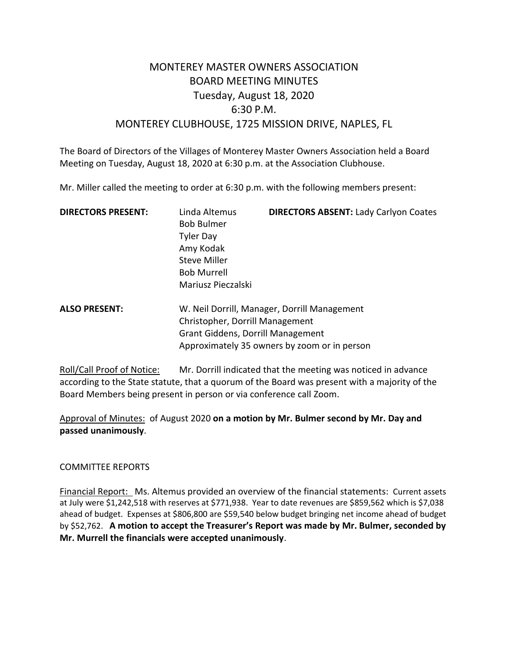# MONTEREY MASTER OWNERS ASSOCIATION BOARD MEETING MINUTES Tuesday, August 18, 2020 6:30 P.M. MONTEREY CLUBHOUSE, 1725 MISSION DRIVE, NAPLES, FL

The Board of Directors of the Villages of Monterey Master Owners Association held a Board Meeting on Tuesday, August 18, 2020 at 6:30 p.m. at the Association Clubhouse.

Mr. Miller called the meeting to order at 6:30 p.m. with the following members present:

| <b>DIRECTORS PRESENT:</b> | Linda Altemus<br><b>Bob Bulmer</b><br><b>Tyler Day</b><br>Amy Kodak<br><b>Steve Miller</b><br><b>Bob Murrell</b> | <b>DIRECTORS ABSENT: Lady Carlyon Coates</b> |
|---------------------------|------------------------------------------------------------------------------------------------------------------|----------------------------------------------|
|                           | Mariusz Pieczalski                                                                                               |                                              |
| <b>ALSO PRESENT:</b>      | $\sim$ $\sim$ $\sim$ $\sim$ $\sim$ $\sim$                                                                        | W. Neil Dorrill, Manager, Dorrill Management |

Christopher, Dorrill Management Grant Giddens, Dorrill Management Approximately 35 owners by zoom or in person

Roll/Call Proof of Notice: Mr. Dorrill indicated that the meeting was noticed in advance according to the State statute, that a quorum of the Board was present with a majority of the Board Members being present in person or via conference call Zoom.

Approval of Minutes: of August 2020 **on a motion by Mr. Bulmer second by Mr. Day and passed unanimously**.

# COMMITTEE REPORTS

Financial Report: Ms. Altemus provided an overview of the financial statements: Current assets at July were \$1,242,518 with reserves at \$771,938. Year to date revenues are \$859,562 which is \$7,038 ahead of budget. Expenses at \$806,800 are \$59,540 below budget bringing net income ahead of budget by \$52,762. **A motion to accept the Treasurer's Report was made by Mr. Bulmer, seconded by Mr. Murrell the financials were accepted unanimously**.